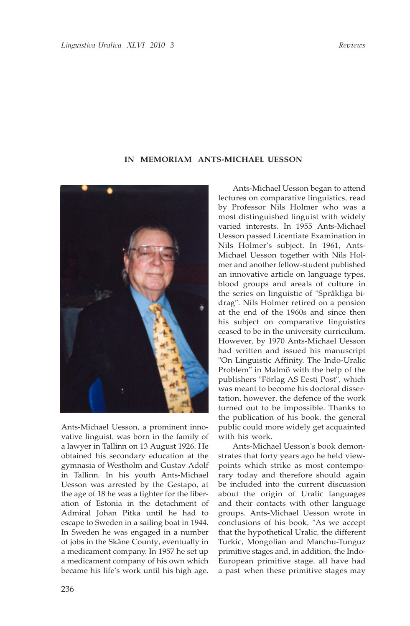## **IN MEMORIAM ANTS-MICHAEL UESSON**



Ants-Michael Uesson, a prominent innovative linguist, was born in the family of a lawyer in Tallinn on 13 August 1926. He obtained his secondary education at the gymnasia of Westholm and Gustav Adolf in Tallinn. In his youth Ants-Michael Uesson was arrested by the Gestapo, at the age of 18 he was a fighter for the liberation of Estonia in the detachment of Admiral Johan Pitka until he had to escape to Sweden in a sailing boat in 1944. In Sweden he was engaged in a number of jobs in the Skåne County, eventually in a medicament company. In 1957 he set up a medicament company of his own which became his life's work until his high age.

Ants-Michael Uesson began to attend lectures on comparative linguistics, read by Professor Nils Holmer who was a most distinguished linguist with widely varied interests. In 1955 Ants-Michael Uesson passed Licentiate Examination in Nils Holmer's subject. In 1961, Ants-Michael Uesson together with Nils Holmer and another fellow-student published an innovative article on language types, blood groups and areals of culture in the series on linguistic of "Språkliga bidrag". Nils Holmer retired on a pension at the end of the 1960s and since then his subject on comparative linguistics ceased to be in the university curriculum. However, by 1970 Ants-Michael Uesson had written and issued his manuscript "On Linguistic Affinity. The Indo-Uralic Problem" in Malmö with the help of the publishers "Förlag AS Eesti Post", which was meant to become his doctoral dissertation, however, the defence of the work turned out to be impossible. Thanks to the publication of his book, the general public could more widely get acquainted with his work.

Ants-Michael Uesson's book demonstrates that forty years ago he held viewpoints which strike as most contemporary today and therefore should again be included into the current discussion about the origin of Uralic languages and their contacts with other language groups. Ants-Michael Uesson wrote in conclusions of his book, "As we accept that the hypothetical Uralic, the different Turkic, Mongolian and Manchu-Tunguz primitive stages and, in addition, the Indo-European primitive stage, all have had a past when these primitive stages may